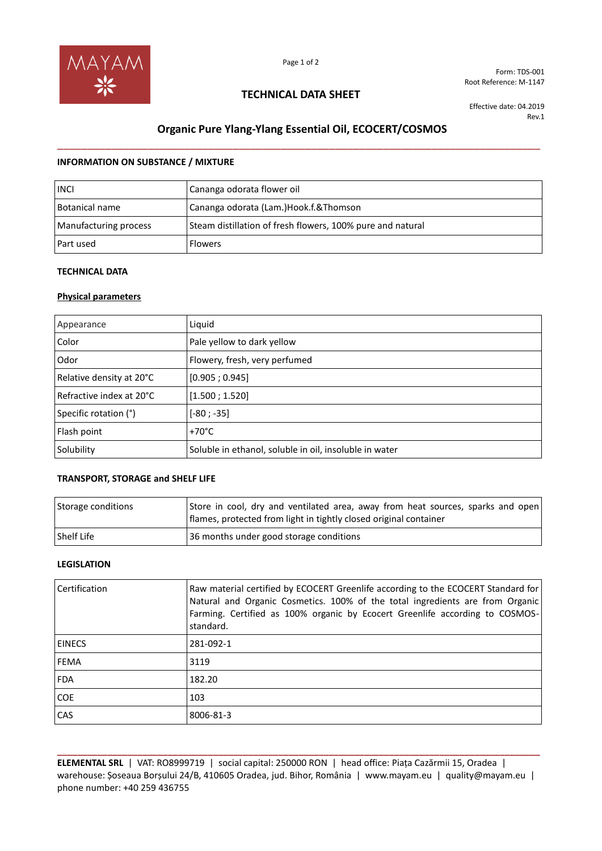

Form: TDS-001 Root Reference: M-1147

### **TECHNICAL DATA SHEET**

Effective date: 04.2019 Rev.1

# **Organic Pure Ylang-Ylang Essential Oil, ECOCERT/COSMOS** \_\_\_\_\_\_\_\_\_\_\_\_\_\_\_\_\_\_\_\_\_\_\_\_\_\_\_\_\_\_\_\_\_\_\_\_\_\_\_\_\_\_\_\_\_\_\_\_\_\_\_\_\_\_\_\_\_\_\_\_\_\_\_\_\_\_\_\_\_\_\_\_\_\_\_\_\_\_\_\_

#### **INFORMATION ON SUBSTANCE / MIXTURE**

| <b>INCL</b>           | Cananga odorata flower oil                                 |
|-----------------------|------------------------------------------------------------|
| Botanical name        | Cananga odorata (Lam.)Hook.f.&Thomson                      |
| Manufacturing process | Steam distillation of fresh flowers, 100% pure and natural |
| Part used             | <b>Flowers</b>                                             |

#### **TECHNICAL DATA**

#### **Physical parameters**

| Appearance               | Liquid                                                 |
|--------------------------|--------------------------------------------------------|
| Color                    | Pale yellow to dark yellow                             |
| Odor                     | Flowery, fresh, very perfumed                          |
| Relative density at 20°C | [0.905; 0.945]                                         |
| Refractive index at 20°C | [1.500; 1.520]                                         |
| Specific rotation (°)    | $[-80; -35]$                                           |
| Flash point              | $+70^{\circ}$ C                                        |
| Solubility               | Soluble in ethanol, soluble in oil, insoluble in water |

#### **TRANSPORT, STORAGE and SHELF LIFE**

| Storage conditions | Store in cool, dry and ventilated area, away from heat sources, sparks and open<br>flames, protected from light in tightly closed original container |
|--------------------|------------------------------------------------------------------------------------------------------------------------------------------------------|
| l Shelf Life       | 36 months under good storage conditions                                                                                                              |

#### **LEGISLATION**

| <b>Certification</b> | Raw material certified by ECOCERT Greenlife according to the ECOCERT Standard for<br>Natural and Organic Cosmetics. 100% of the total ingredients are from Organic<br>Farming. Certified as 100% organic by Ecocert Greenlife according to COSMOS-<br>standard. |
|----------------------|-----------------------------------------------------------------------------------------------------------------------------------------------------------------------------------------------------------------------------------------------------------------|
| <b>EINECS</b>        | 281-092-1                                                                                                                                                                                                                                                       |
| <b>FEMA</b>          | 3119                                                                                                                                                                                                                                                            |
| <b>FDA</b>           | 182.20                                                                                                                                                                                                                                                          |
| <b>COE</b>           | 103                                                                                                                                                                                                                                                             |
| CAS                  | 8006-81-3                                                                                                                                                                                                                                                       |

**ELEMENTAL SRL** | VAT: RO8999719 | social capital: 250000 RON | head office: Piața Cazărmii 15, Oradea | warehouse: Șoseaua Borșului 24/B, 410605 Oradea, jud. Bihor, România | www.mayam.eu | quality@mayam.eu | phone number: +40 259 436755

**\_\_\_\_\_\_\_\_\_\_\_\_\_\_\_\_\_\_\_\_\_\_\_\_\_\_\_\_\_\_\_\_\_\_\_\_\_\_\_\_\_\_\_\_\_\_\_\_\_\_\_\_\_\_\_\_\_\_\_\_\_\_\_\_\_\_\_\_\_\_\_\_\_\_\_\_\_\_\_\_\_\_\_\_\_\_\_\_\_\_\_\_\_\_\_\_**